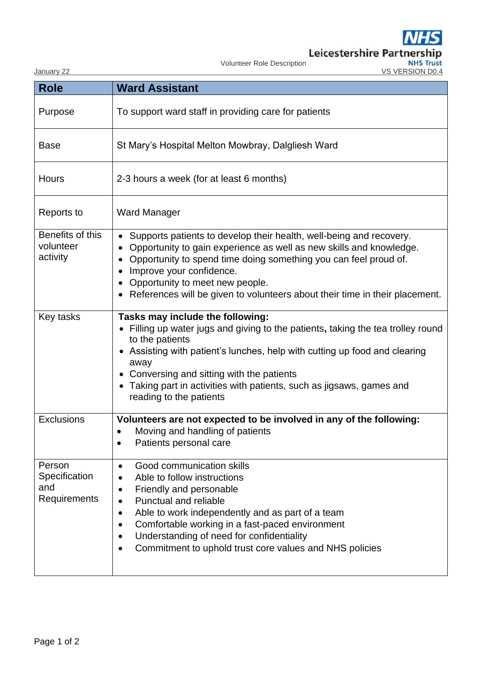| January 22                                     | ше<br>Leicestershire Partnership<br><b>NHS Tr</b><br>Volunteer Role Description<br>VS VERSION D0.4                                                                                                                                                                                                                                                                            |
|------------------------------------------------|-------------------------------------------------------------------------------------------------------------------------------------------------------------------------------------------------------------------------------------------------------------------------------------------------------------------------------------------------------------------------------|
| <b>Role</b>                                    | <b>Ward Assistant</b>                                                                                                                                                                                                                                                                                                                                                         |
| Purpose                                        | To support ward staff in providing care for patients                                                                                                                                                                                                                                                                                                                          |
| <b>Base</b>                                    | St Mary's Hospital Melton Mowbray, Dalgliesh Ward                                                                                                                                                                                                                                                                                                                             |
| Hours                                          | 2-3 hours a week (for at least 6 months)                                                                                                                                                                                                                                                                                                                                      |
| Reports to                                     | <b>Ward Manager</b>                                                                                                                                                                                                                                                                                                                                                           |
| Benefits of this<br>volunteer<br>activity      | Supports patients to develop their health, well-being and recovery.<br>Opportunity to gain experience as well as new skills and knowledge.<br>Opportunity to spend time doing something you can feel proud of.<br>Improve your confidence.<br>Opportunity to meet new people.<br>References will be given to volunteers about their time in their placement.                  |
| Key tasks                                      | Tasks may include the following:<br>Filling up water jugs and giving to the patients, taking the tea trolley round<br>to the patients<br>• Assisting with patient's lunches, help with cutting up food and clearing<br>away<br>• Conversing and sitting with the patients<br>• Taking part in activities with patients, such as jigsaws, games and<br>reading to the patients |
| <b>Exclusions</b>                              | Volunteers are not expected to be involved in any of the following:<br>Moving and handling of patients<br>$\bullet$<br>Patients personal care<br>$\bullet$                                                                                                                                                                                                                    |
| Person<br>Specification<br>and<br>Requirements | Good communication skills<br>٠<br>Able to follow instructions<br>Friendly and personable<br><b>Punctual and reliable</b><br>Able to work independently and as part of a team<br>٠<br>Comfortable working in a fast-paced environment<br>Understanding of need for confidentiality<br>Commitment to uphold trust core values and NHS policies                                  |